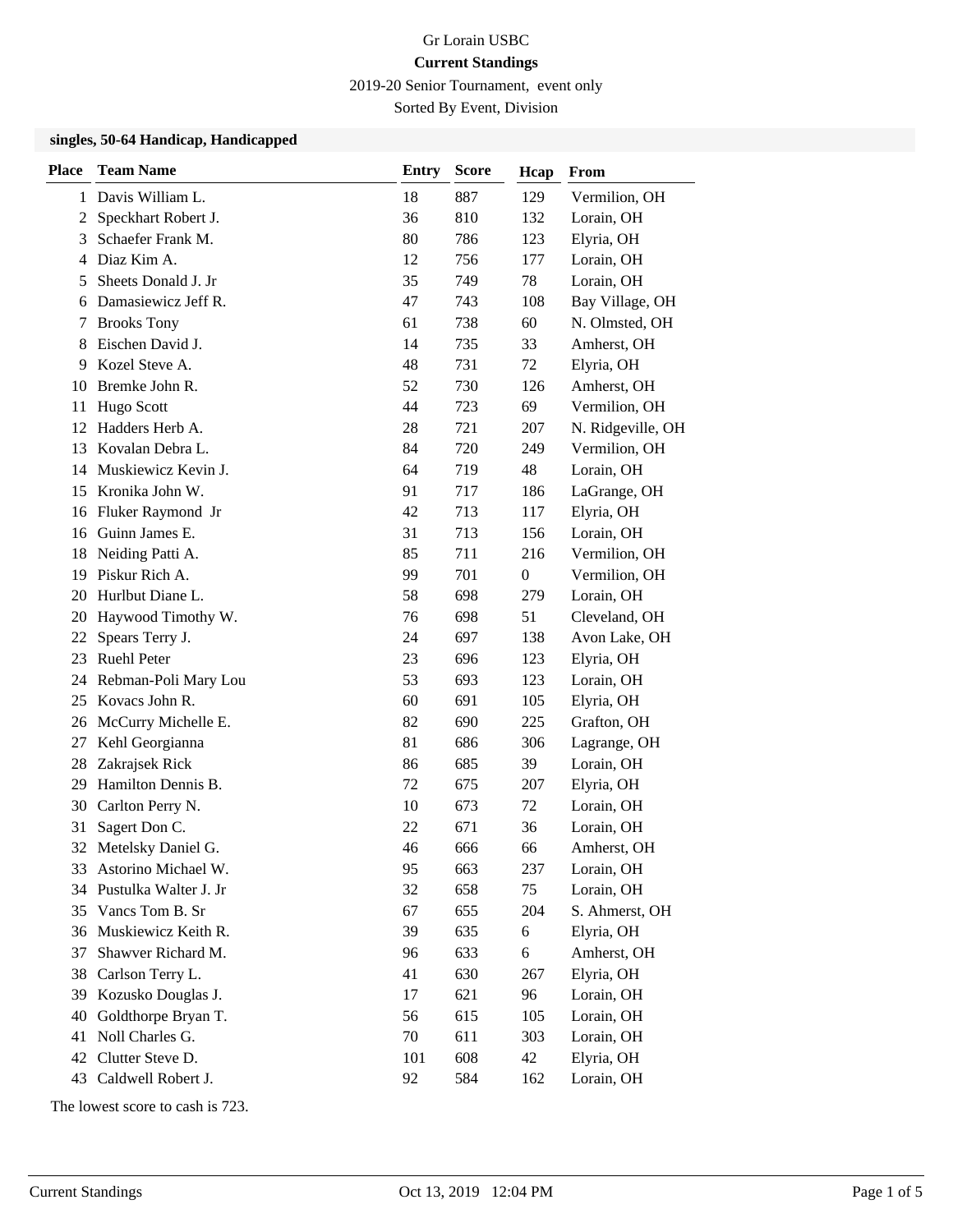2019-20 Senior Tournament, event only

Sorted By Event, Division

#### **singles, 50-64 Handicap, Handicapped**

| <b>Place</b> | <b>Team Name</b>      | <b>Entry</b> | <b>Score</b> | Hcap             | From              |
|--------------|-----------------------|--------------|--------------|------------------|-------------------|
| 1            | Davis William L.      | 18           | 887          | 129              | Vermilion, OH     |
| 2            | Speckhart Robert J.   | 36           | 810          | 132              | Lorain, OH        |
| 3            | Schaefer Frank M.     | 80           | 786          | 123              | Elyria, OH        |
| 4            | Diaz Kim A.           | 12           | 756          | 177              | Lorain, OH        |
| 5            | Sheets Donald J. Jr   | 35           | 749          | 78               | Lorain, OH        |
| 6            | Damasiewicz Jeff R.   | 47           | 743          | 108              | Bay Village, OH   |
| 7            | <b>Brooks Tony</b>    | 61           | 738          | 60               | N. Olmsted, OH    |
| 8            | Eischen David J.      | 14           | 735          | 33               | Amherst, OH       |
| 9            | Kozel Steve A.        | 48           | 731          | 72               | Elyria, OH        |
| 10           | Bremke John R.        | 52           | 730          | 126              | Amherst, OH       |
| 11           | Hugo Scott            | 44           | 723          | 69               | Vermilion, OH     |
| 12           | Hadders Herb A.       | 28           | 721          | 207              | N. Ridgeville, OH |
| 13           | Kovalan Debra L.      | 84           | 720          | 249              | Vermilion, OH     |
| 14           | Muskiewicz Kevin J.   | 64           | 719          | 48               | Lorain, OH        |
| 15           | Kronika John W.       | 91           | 717          | 186              | LaGrange, OH      |
| 16           | Fluker Raymond Jr     | 42           | 713          | 117              | Elyria, OH        |
| 16           | Guinn James E.        | 31           | 713          | 156              | Lorain, OH        |
| 18           | Neiding Patti A.      | 85           | 711          | 216              | Vermilion, OH     |
| 19           | Piskur Rich A.        | 99           | 701          | $\boldsymbol{0}$ | Vermilion, OH     |
| 20           | Hurlbut Diane L.      | 58           | 698          | 279              | Lorain, OH        |
| 20           | Haywood Timothy W.    | 76           | 698          | 51               | Cleveland, OH     |
| 22           | Spears Terry J.       | 24           | 697          | 138              | Avon Lake, OH     |
| 23           | Ruehl Peter           | 23           | 696          | 123              | Elyria, OH        |
| 24           | Rebman-Poli Mary Lou  | 53           | 693          | 123              | Lorain, OH        |
| 25           | Kovacs John R.        | 60           | 691          | 105              | Elyria, OH        |
| 26           | McCurry Michelle E.   | 82           | 690          | 225              | Grafton, OH       |
| 27           | Kehl Georgianna       | 81           | 686          | 306              | Lagrange, OH      |
| 28           | Zakrajsek Rick        | 86           | 685          | 39               | Lorain, OH        |
| 29           | Hamilton Dennis B.    | 72           | 675          | 207              | Elyria, OH        |
| 30           | Carlton Perry N.      | 10           | 673          | 72               | Lorain, OH        |
| 31           | Sagert Don C.         | 22           | 671          | 36               | Lorain, OH        |
| 32           | Metelsky Daniel G.    | 46           | 666          | 66               | Amherst, OH       |
| 33           | Astorino Michael W.   | 95           | 663          | 237              | Lorain, OH        |
| 34           | Pustulka Walter J. Jr | 32           | 658          | 75               | Lorain, OH        |
| 35           | Vancs Tom B. Sr       | 67           | 655          | 204              | S. Ahmerst, OH    |
| 36           | Muskiewicz Keith R.   | 39           | 635          | 6                | Elyria, OH        |
| 37           | Shawver Richard M.    | 96           | 633          | 6                | Amherst, OH       |
| 38           | Carlson Terry L.      | 41           | 630          | 267              | Elyria, OH        |
| 39           | Kozusko Douglas J.    | 17           | 621          | 96               | Lorain, OH        |
| 40           | Goldthorpe Bryan T.   | 56           | 615          | 105              | Lorain, OH        |
| 41           | Noll Charles G.       | 70           | 611          | 303              | Lorain, OH        |
| 42           | Clutter Steve D.      | 101          | 608          | 42               | Elyria, OH        |
| 43           | Caldwell Robert J.    | 92           | 584          | 162              | Lorain, OH        |

The lowest score to cash is 723.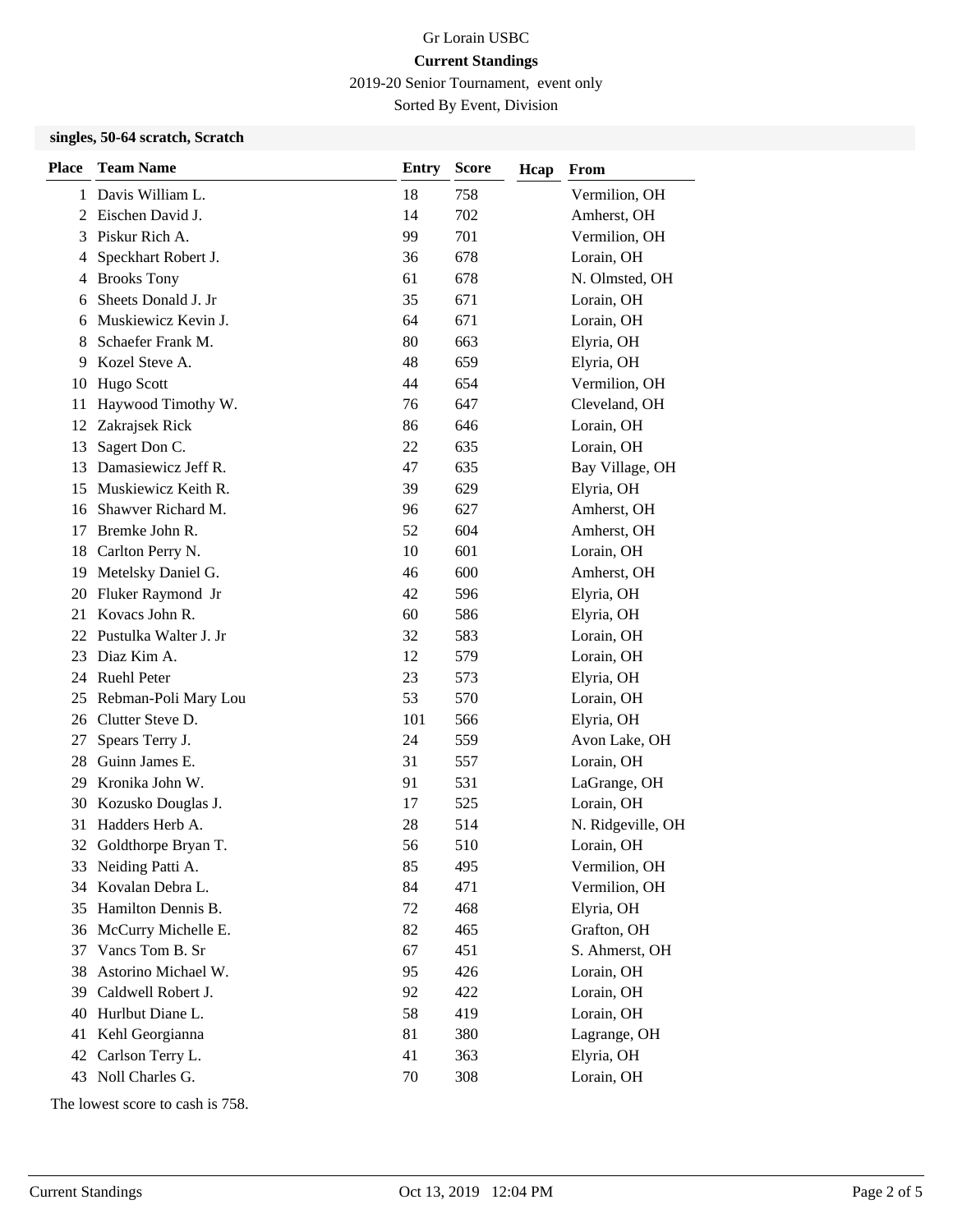2019-20 Senior Tournament, event only

Sorted By Event, Division

### **singles, 50-64 scratch, Scratch**

| <b>Place</b> | <b>Team Name</b>       | <b>Entry</b> | <b>Score</b> | Hcap | From              |
|--------------|------------------------|--------------|--------------|------|-------------------|
| 1            | Davis William L.       | 18           | 758          |      | Vermilion, OH     |
|              | 2 Eischen David J.     | 14           | 702          |      | Amherst, OH       |
| 3            | Piskur Rich A.         | 99           | 701          |      | Vermilion, OH     |
| 4            | Speckhart Robert J.    | 36           | 678          |      | Lorain, OH        |
| 4            | <b>Brooks Tony</b>     | 61           | 678          |      | N. Olmsted, OH    |
| 6            | Sheets Donald J. Jr    | 35           | 671          |      | Lorain, OH        |
| 6            | Muskiewicz Kevin J.    | 64           | 671          |      | Lorain, OH        |
| 8            | Schaefer Frank M.      | 80           | 663          |      | Elyria, OH        |
| 9            | Kozel Steve A.         | 48           | 659          |      | Elyria, OH        |
| 10           | Hugo Scott             | 44           | 654          |      | Vermilion, OH     |
| 11           | Haywood Timothy W.     | 76           | 647          |      | Cleveland, OH     |
| 12           | Zakrajsek Rick         | 86           | 646          |      | Lorain, OH        |
| 13           | Sagert Don C.          | 22           | 635          |      | Lorain, OH        |
| 13           | Damasiewicz Jeff R.    | 47           | 635          |      | Bay Village, OH   |
| 15           | Muskiewicz Keith R.    | 39           | 629          |      | Elyria, OH        |
| 16           | Shawver Richard M.     | 96           | 627          |      | Amherst, OH       |
| 17           | Bremke John R.         | 52           | 604          |      | Amherst, OH       |
| 18           | Carlton Perry N.       | 10           | 601          |      | Lorain, OH        |
| 19           | Metelsky Daniel G.     | 46           | 600          |      | Amherst, OH       |
| 20           | Fluker Raymond Jr      | 42           | 596          |      | Elyria, OH        |
| 21           | Kovacs John R.         | 60           | 586          |      | Elyria, OH        |
| 22           | Pustulka Walter J. Jr  | 32           | 583          |      | Lorain, OH        |
| 23           | Diaz Kim A.            | 12           | 579          |      | Lorain, OH        |
|              | 24 Ruehl Peter         | 23           | 573          |      | Elyria, OH        |
| 25           | Rebman-Poli Mary Lou   | 53           | 570          |      | Lorain, OH        |
| 26           | Clutter Steve D.       | 101          | 566          |      | Elyria, OH        |
| 27           | Spears Terry J.        | 24           | 559          |      | Avon Lake, OH     |
| 28           | Guinn James E.         | 31           | 557          |      | Lorain, OH        |
| 29           | Kronika John W.        | 91           | 531          |      | LaGrange, OH      |
| 30           | Kozusko Douglas J.     | 17           | 525          |      | Lorain, OH        |
| 31           | Hadders Herb A.        | 28           | 514          |      | N. Ridgeville, OH |
|              | 32 Goldthorpe Bryan T. | 56           | 510          |      | Lorain, OH        |
| 33           | Neiding Patti A.       | 85           | 495          |      | Vermilion, OH     |
| 34           | Kovalan Debra L.       | 84           | 471          |      | Vermilion, OH     |
| 35           | Hamilton Dennis B.     | 72           | 468          |      | Elyria, OH        |
| 36           | McCurry Michelle E.    | 82           | 465          |      | Grafton, OH       |
| 37           | Vancs Tom B. Sr        | 67           | 451          |      | S. Ahmerst, OH    |
| 38           | Astorino Michael W.    | 95           | 426          |      | Lorain, OH        |
| 39           | Caldwell Robert J.     | 92           | 422          |      | Lorain, OH        |
| 40           | Hurlbut Diane L.       | 58           | 419          |      | Lorain, OH        |
| 41           | Kehl Georgianna        | 81           | 380          |      | Lagrange, OH      |
| 42           | Carlson Terry L.       | 41           | 363          |      | Elyria, OH        |
|              | 43 Noll Charles G.     | 70           | 308          |      | Lorain, OH        |

The lowest score to cash is 758.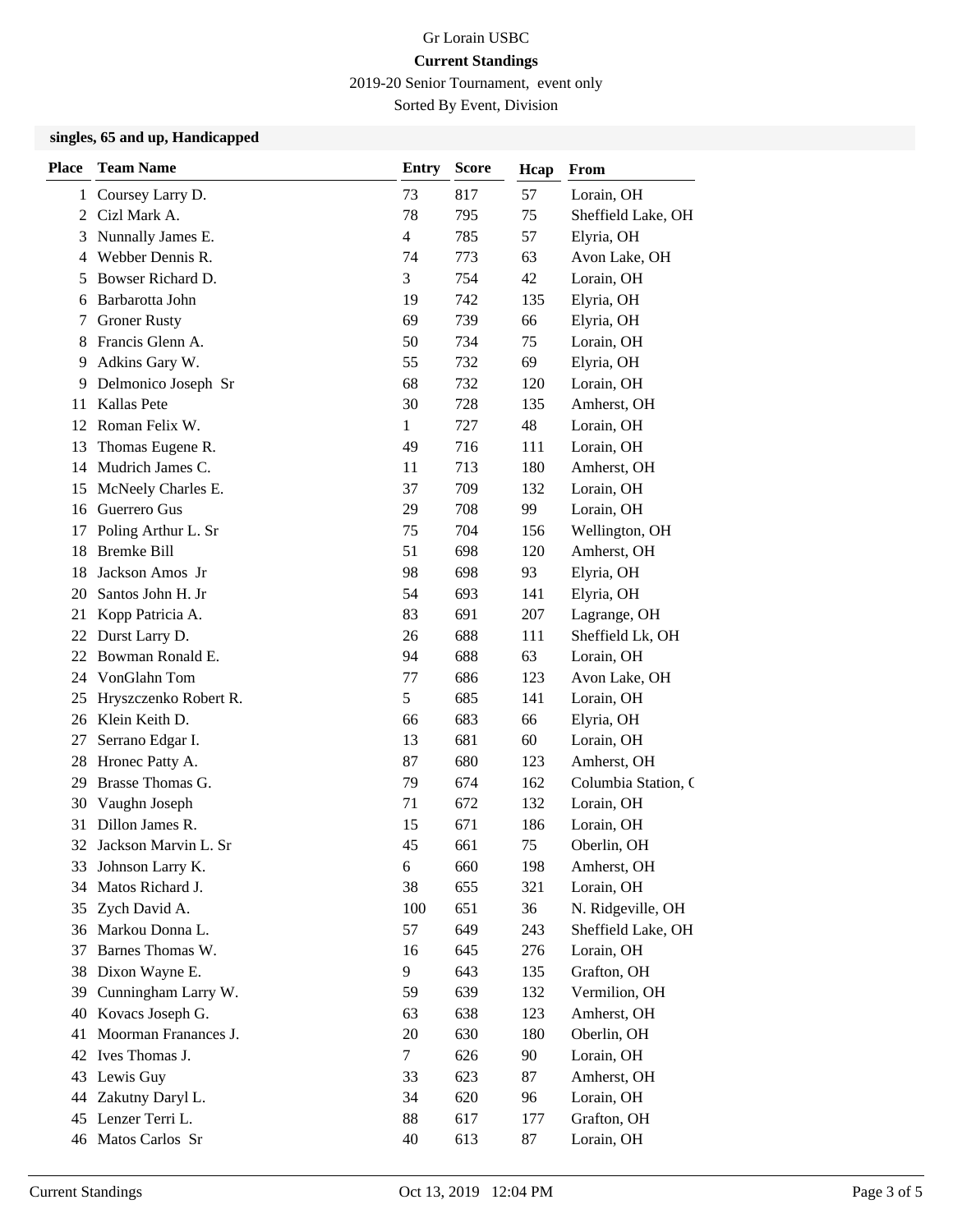2019-20 Senior Tournament, event only

Sorted By Event, Division

### **singles, 65 and up, Handicapped**

| <b>Place</b> | <b>Team Name</b>      | <b>Entry</b>   | <b>Score</b> | Hcap | From                |
|--------------|-----------------------|----------------|--------------|------|---------------------|
| 1            | Coursey Larry D.      | 73             | 817          | 57   | Lorain, OH          |
| 2            | Cizl Mark A.          | 78             | 795          | 75   | Sheffield Lake, OH  |
| 3            | Nunnally James E.     | $\overline{4}$ | 785          | 57   | Elyria, OH          |
| 4            | Webber Dennis R.      | 74             | 773          | 63   | Avon Lake, OH       |
| 5            | Bowser Richard D.     | 3              | 754          | 42   | Lorain, OH          |
| 6            | Barbarotta John       | 19             | 742          | 135  | Elyria, OH          |
| 7            | <b>Groner Rusty</b>   | 69             | 739          | 66   | Elyria, OH          |
| 8            | Francis Glenn A.      | 50             | 734          | 75   | Lorain, OH          |
| 9            | Adkins Gary W.        | 55             | 732          | 69   | Elyria, OH          |
| 9            | Delmonico Joseph Sr   | 68             | 732          | 120  | Lorain, OH          |
| 11           | Kallas Pete           | 30             | 728          | 135  | Amherst, OH         |
| 12           | Roman Felix W.        | 1              | 727          | 48   | Lorain, OH          |
| 13           | Thomas Eugene R.      | 49             | 716          | 111  | Lorain, OH          |
| 14           | Mudrich James C.      | 11             | 713          | 180  | Amherst, OH         |
| 15           | McNeely Charles E.    | 37             | 709          | 132  | Lorain, OH          |
| 16           | Guerrero Gus          | 29             | 708          | 99   | Lorain, OH          |
| 17           | Poling Arthur L. Sr   | 75             | 704          | 156  | Wellington, OH      |
| 18           | <b>Bremke Bill</b>    | 51             | 698          | 120  | Amherst, OH         |
| 18           | Jackson Amos Jr       | 98             | 698          | 93   | Elyria, OH          |
| 20           | Santos John H. Jr     | 54             | 693          | 141  | Elyria, OH          |
| 21           | Kopp Patricia A.      | 83             | 691          | 207  | Lagrange, OH        |
| 22           | Durst Larry D.        | 26             | 688          | 111  | Sheffield Lk, OH    |
| 22           | Bowman Ronald E.      | 94             | 688          | 63   | Lorain, OH          |
| 24           | VonGlahn Tom          | 77             | 686          | 123  | Avon Lake, OH       |
| 25           | Hryszczenko Robert R. | 5              | 685          | 141  | Lorain, OH          |
| 26           | Klein Keith D.        | 66             | 683          | 66   | Elyria, OH          |
| 27           | Serrano Edgar I.      | 13             | 681          | 60   | Lorain, OH          |
| 28           | Hronec Patty A.       | 87             | 680          | 123  | Amherst, OH         |
| 29           | Brasse Thomas G.      | 79             | 674          | 162  | Columbia Station, C |
| 30           | Vaughn Joseph         | 71             | 672          | 132  | Lorain, OH          |
| 31           | Dillon James R.       | 15             | 671          | 186  | Lorain, OH          |
| 32           | Jackson Marvin L. Sr  | 45             | 661          | 75   | Oberlin, OH         |
|              | 33 Johnson Larry K.   | 6              | 660          | 198  | Amherst, OH         |
| 34           | Matos Richard J.      | 38             | 655          | 321  | Lorain, OH          |
| 35           | Zych David A.         | 100            | 651          | 36   | N. Ridgeville, OH   |
| 36           | Markou Donna L.       | 57             | 649          | 243  | Sheffield Lake, OH  |
| 37           | Barnes Thomas W.      | 16             | 645          | 276  | Lorain, OH          |
| 38           | Dixon Wayne E.        | 9              | 643          | 135  | Grafton, OH         |
| 39           | Cunningham Larry W.   | 59             | 639          | 132  | Vermilion, OH       |
| 40           | Kovacs Joseph G.      | 63             | 638          | 123  | Amherst, OH         |
| 41           | Moorman Franances J.  | 20             | 630          | 180  | Oberlin, OH         |
| 42           | Ives Thomas J.        | $\tau$         | 626          | 90   | Lorain, OH          |
| 43           | Lewis Guy             | 33             | 623          | 87   | Amherst, OH         |
| 44           | Zakutny Daryl L.      | 34             | 620          | 96   | Lorain, OH          |
| 45           | Lenzer Terri L.       | 88             | 617          | 177  | Grafton, OH         |
|              | 46 Matos Carlos Sr    | 40             | 613          | 87   | Lorain, OH          |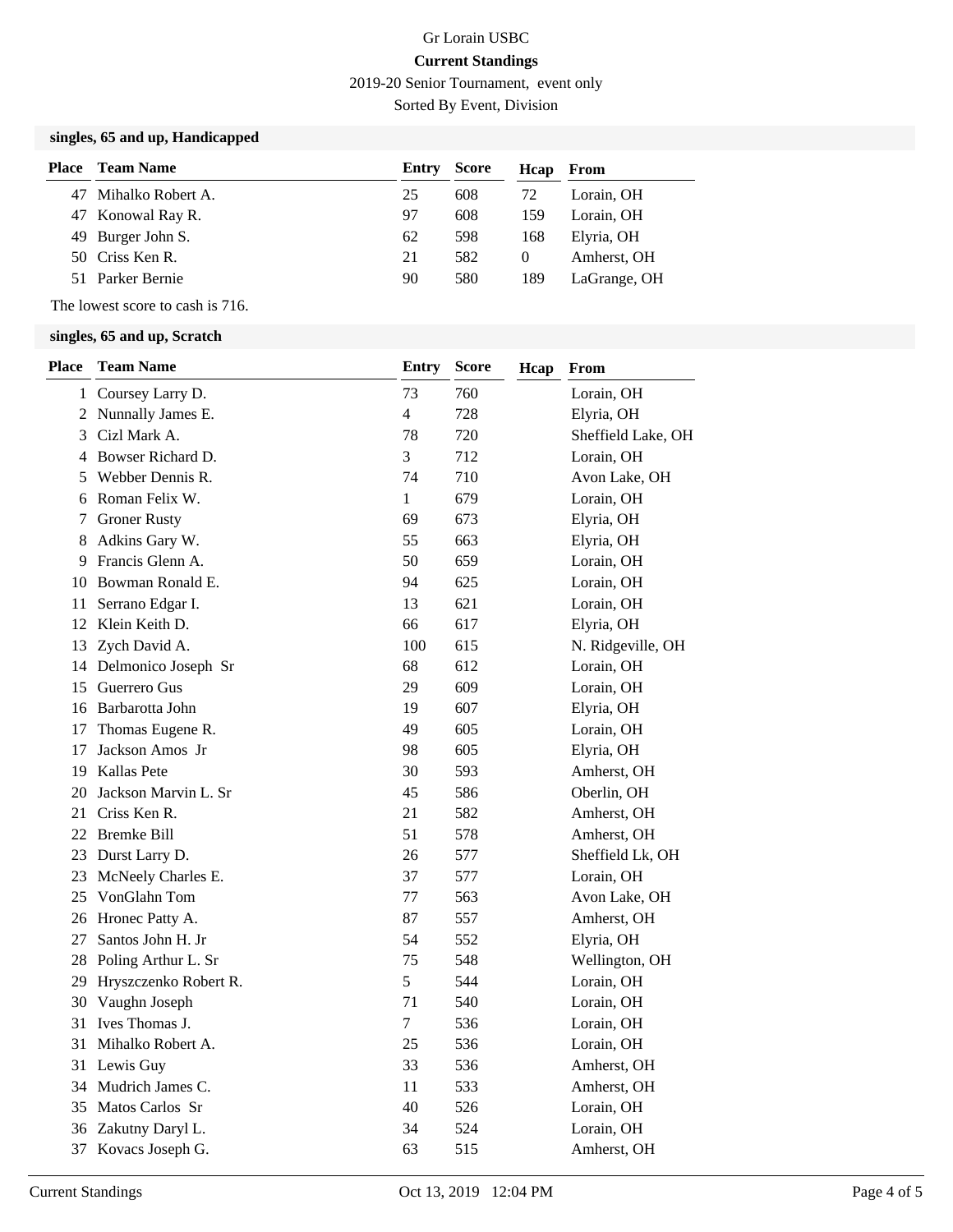2019-20 Senior Tournament, event only

Sorted By Event, Division

## **singles, 65 and up, Handicapped**

| Place | Team Name            | Entry | <b>Score</b> | Hcap     | From         |
|-------|----------------------|-------|--------------|----------|--------------|
|       | 47 Mihalko Robert A. | 25    | 608          | 72       | Lorain, OH   |
|       | 47 Konowal Ray R.    | 97    | 608          | 159      | Lorain. OH   |
|       | 49 Burger John S.    | 62    | 598          | 168      | Elyria, OH   |
|       | 50 Criss Ken R.      | 21    | 582          | $\theta$ | Amherst, OH  |
|       | 51 Parker Bernie     | 90    | 580          | 189      | LaGrange, OH |

The lowest score to cash is 716.

#### **singles, 65 and up, Scratch**

| <b>Place</b> | <b>Team Name</b>         | <b>Entry</b>   | <b>Score</b> | Hcap | From               |
|--------------|--------------------------|----------------|--------------|------|--------------------|
| 1            | Coursey Larry D.         | 73             | 760          |      | Lorain, OH         |
|              | 2 Nunnally James E.      | $\overline{4}$ | 728          |      | Elyria, OH         |
| 3            | Cizl Mark A.             | 78             | 720          |      | Sheffield Lake, OH |
|              | 4 Bowser Richard D.      | 3              | 712          |      | Lorain, OH         |
| 5            | Webber Dennis R.         | 74             | 710          |      | Avon Lake, OH      |
|              | 6 Roman Felix W.         | $\mathbf{1}$   | 679          |      | Lorain, OH         |
| 7            | <b>Groner Rusty</b>      | 69             | 673          |      | Elyria, OH         |
| 8            | Adkins Gary W.           | 55             | 663          |      | Elyria, OH         |
|              | 9 Francis Glenn A.       | 50             | 659          |      | Lorain, OH         |
|              | 10 Bowman Ronald E.      | 94             | 625          |      | Lorain, OH         |
| 11           | Serrano Edgar I.         | 13             | 621          |      | Lorain, OH         |
|              | 12 Klein Keith D.        | 66             | 617          |      | Elyria, OH         |
|              | 13 Zych David A.         | 100            | 615          |      | N. Ridgeville, OH  |
|              | 14 Delmonico Joseph Sr   | 68             | 612          |      | Lorain, OH         |
|              | 15 Guerrero Gus          | 29             | 609          |      | Lorain, OH         |
|              | 16 Barbarotta John       | 19             | 607          |      | Elyria, OH         |
| 17           | Thomas Eugene R.         | 49             | 605          |      | Lorain, OH         |
| 17           | Jackson Amos Jr          | 98             | 605          |      | Elyria, OH         |
|              | 19 Kallas Pete           | 30             | 593          |      | Amherst, OH        |
|              | 20 Jackson Marvin L. Sr  | 45             | 586          |      | Oberlin, OH        |
|              | 21 Criss Ken R.          | 21             | 582          |      | Amherst, OH        |
|              | 22 Bremke Bill           | 51             | 578          |      | Amherst, OH        |
|              | 23 Durst Larry D.        | 26             | 577          |      | Sheffield Lk, OH   |
|              | 23 McNeely Charles E.    | 37             | 577          |      | Lorain, OH         |
|              | 25 VonGlahn Tom          | 77             | 563          |      | Avon Lake, OH      |
|              | 26 Hronec Patty A.       | 87             | 557          |      | Amherst, OH        |
| 27           | Santos John H. Jr        | 54             | 552          |      | Elyria, OH         |
|              | 28 Poling Arthur L. Sr   | 75             | 548          |      | Wellington, OH     |
|              | 29 Hryszczenko Robert R. | 5              | 544          |      | Lorain, OH         |
|              | 30 Vaughn Joseph         | 71             | 540          |      | Lorain, OH         |
|              | 31 Ives Thomas J.        | $\tau$         | 536          |      | Lorain, OH         |
| 31           | Mihalko Robert A.        | 25             | 536          |      | Lorain, OH         |
|              | 31 Lewis Guy             | 33             | 536          |      | Amherst, OH        |
|              | 34 Mudrich James C.      | 11             | 533          |      | Amherst, OH        |
|              | 35 Matos Carlos Sr       | 40             | 526          |      | Lorain, OH         |
|              | 36 Zakutny Daryl L.      | 34             | 524          |      | Lorain, OH         |
| 37           | Kovacs Joseph G.         | 63             | 515          |      | Amherst, OH        |